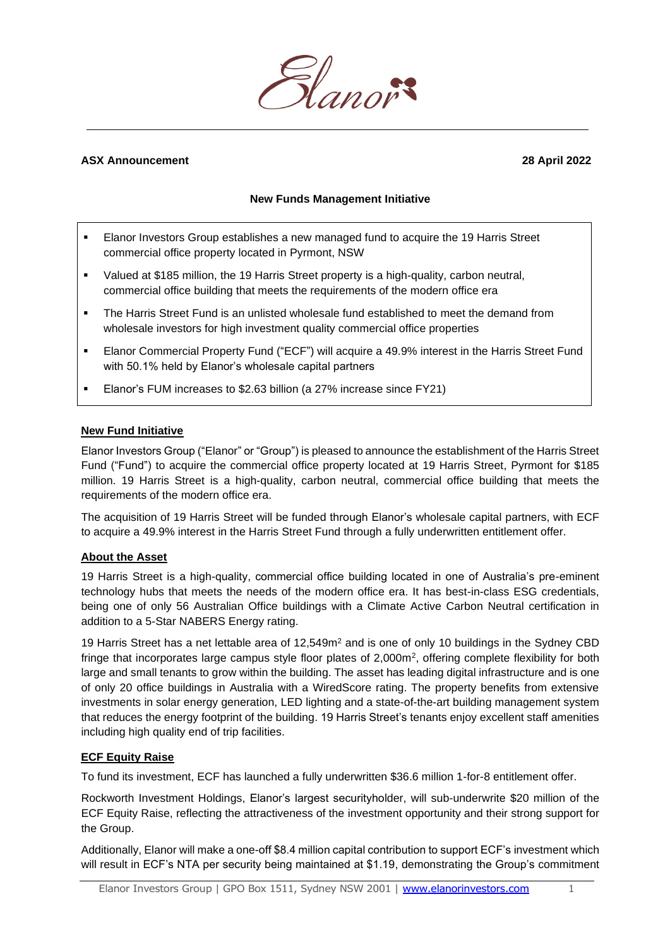

# **ASX Announcement 28 April 2022**

#### **New Funds Management Initiative**

- Elanor Investors Group establishes a new managed fund to acquire the 19 Harris Street commercial office property located in Pyrmont, NSW
- Valued at \$185 million, the 19 Harris Street property is a high-quality, carbon neutral, commercial office building that meets the requirements of the modern office era
- **•** The Harris Street Fund is an unlisted wholesale fund established to meet the demand from wholesale investors for high investment quality commercial office properties
- **Elanor Commercial Property Fund ("ECF") will acquire a 49.9% interest in the Harris Street Fund** with 50.1% held by Elanor's wholesale capital partners
- Elanor's FUM increases to \$2.63 billion (a 27% increase since FY21)

#### **New Fund Initiative**

Elanor Investors Group ("Elanor" or "Group") is pleased to announce the establishment of the Harris Street Fund ("Fund") to acquire the commercial office property located at 19 Harris Street, Pyrmont for \$185 million. 19 Harris Street is a high-quality, carbon neutral, commercial office building that meets the requirements of the modern office era.

The acquisition of 19 Harris Street will be funded through Elanor's wholesale capital partners, with ECF to acquire a 49.9% interest in the Harris Street Fund through a fully underwritten entitlement offer.

## **About the Asset**

19 Harris Street is a high-quality, commercial office building located in one of Australia's pre-eminent technology hubs that meets the needs of the modern office era. It has best-in-class ESG credentials, being one of only 56 Australian Office buildings with a Climate Active Carbon Neutral certification in addition to a 5-Star NABERS Energy rating.

19 Harris Street has a net lettable area of 12,549m<sup>2</sup> and is one of only 10 buildings in the Sydney CBD fringe that incorporates large campus style floor plates of 2,000m<sup>2</sup>, offering complete flexibility for both large and small tenants to grow within the building. The asset has leading digital infrastructure and is one of only 20 office buildings in Australia with a WiredScore rating. The property benefits from extensive investments in solar energy generation, LED lighting and a state-of-the-art building management system that reduces the energy footprint of the building. 19 Harris Street's tenants enjoy excellent staff amenities including high quality end of trip facilities.

## **ECF Equity Raise**

To fund its investment, ECF has launched a fully underwritten \$36.6 million 1-for-8 entitlement offer.

Rockworth Investment Holdings, Elanor's largest securityholder, will sub-underwrite \$20 million of the ECF Equity Raise, reflecting the attractiveness of the investment opportunity and their strong support for the Group.

Additionally, Elanor will make a one-off \$8.4 million capital contribution to support ECF's investment which will result in ECF's NTA per security being maintained at \$1.19, demonstrating the Group's commitment